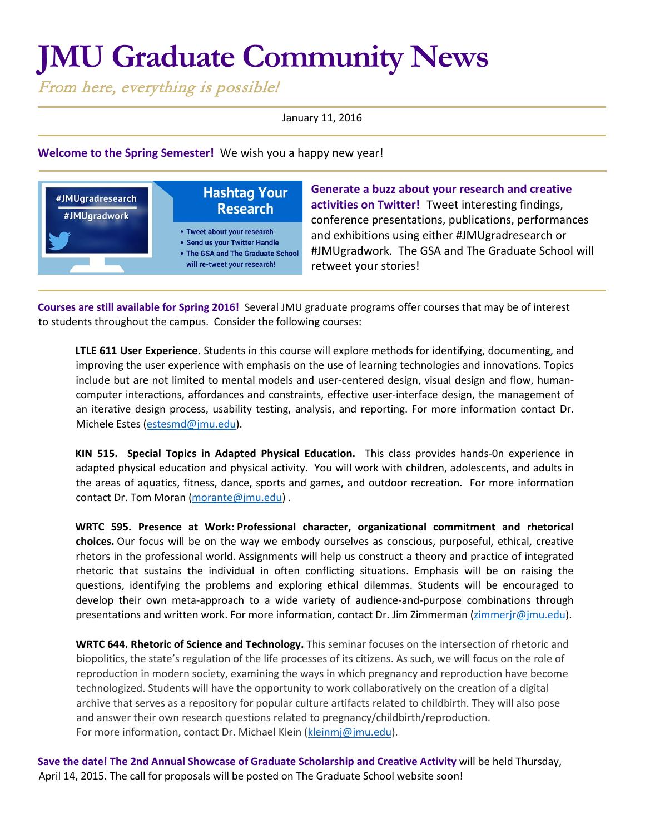## **JMU Graduate Community News**

From here, everything is possible!

January 11, 2016

**Welcome to the Spring Semester!** We wish you a happy new year!



**Generate a buzz about your research and creative activities on Twitter!** Tweet interesting findings, conference presentations, publications, performances and exhibitions using either #JMUgradresearch or #JMUgradwork. The GSA and The Graduate School will retweet your stories!

**Courses are still available for Spring 2016!** Several JMU graduate programs offer courses that may be of interest to students throughout the campus. Consider the following courses:

**LTLE 611 User Experience.** Students in this course will explore methods for identifying, documenting, and improving the user experience with emphasis on the use of learning technologies and innovations. Topics include but are not limited to mental models and user-centered design, visual design and flow, humancomputer interactions, affordances and constraints, effective user-interface design, the management of an iterative design process, usability testing, analysis, and reporting. For more information contact Dr. Michele Estes [\(estesmd@jmu.edu\)](mailto:estesmd@jmu.edu).

**KIN 515. Special Topics in Adapted Physical Education.** This class provides hands-0n experience in adapted physical education and physical activity. You will work with children, adolescents, and adults in the areas of aquatics, fitness, dance, sports and games, and outdoor recreation. For more information contact Dr. Tom Moran [\(morante@jmu.edu\)](mailto:morante@jmu.edu) .

**WRTC 595. Presence at Work: Professional character, organizational commitment and rhetorical choices.** Our focus will be on the way we embody ourselves as conscious, purposeful, ethical, creative rhetors in the professional world. Assignments will help us construct a theory and practice of integrated rhetoric that sustains the individual in often conflicting situations. Emphasis will be on raising the questions, identifying the problems and exploring ethical dilemmas. Students will be encouraged to develop their own meta-approach to a wide variety of audience-and-purpose combinations through presentations and written work. For more information, contact Dr. Jim Zimmerman [\(zimmerjr@jmu.edu\)](mailto:zimmerjr@jmu.edu).

**WRTC 644. Rhetoric of Science and Technology.** This seminar focuses on the intersection of rhetoric and biopolitics, the state's regulation of the life processes of its citizens. As such, we will focus on the role of reproduction in modern society, examining the ways in which pregnancy and reproduction have become technologized. Students will have the opportunity to work collaboratively on the creation of a digital archive that serves as a repository for popular culture artifacts related to childbirth. They will also pose and answer their own research questions related to pregnancy/childbirth/reproduction. For more information, contact Dr. Michael Klein [\(kleinmj@jmu.edu\)](mailto:kleinmj@jmu.edu).

**Save the date! The 2nd Annual Showcase of Graduate Scholarship and Creative Activity** will be held Thursday, April 14, 2015. The call for proposals will be posted on The Graduate School website soon!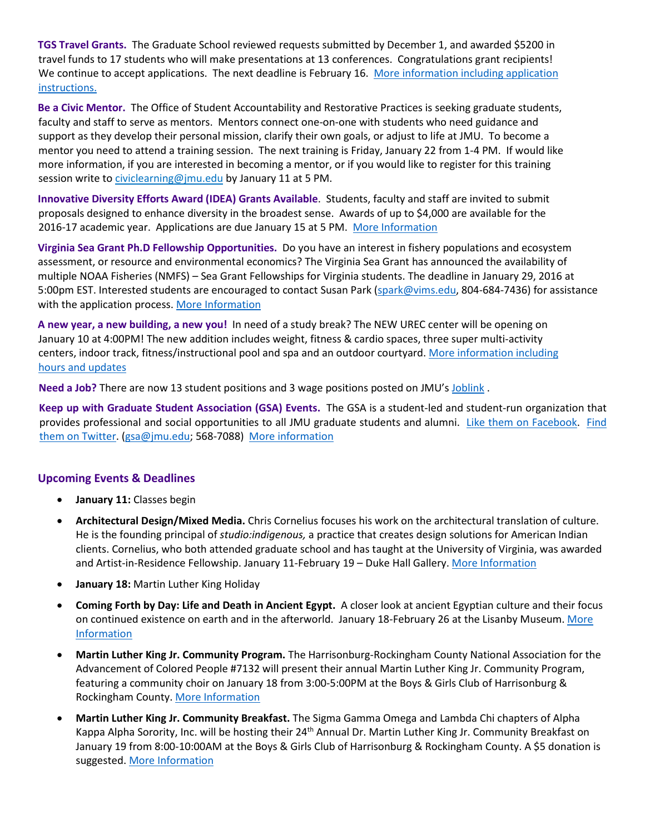**TGS Travel Grants.** The Graduate School reviewed requests submitted by December 1, and awarded \$5200 in travel funds to 17 students who will make presentations at 13 conferences. Congratulations grant recipients! We continue to accept applications. The next deadline is February 16. More information including application [instructions.](http://www.jmu.edu/grad/current-students/awards/travel-grants.shtml)

**Be a Civic Mentor.** The Office of Student Accountability and Restorative Practices is seeking graduate students, faculty and staff to serve as mentors. Mentors connect one-on-one with students who need guidance and support as they develop their personal mission, clarify their own goals, or adjust to life at JMU. To become a mentor you need to attend a training session. The next training is Friday, January 22 from 1-4 PM. If would like more information, if you are interested in becoming a mentor, or if you would like to register for this training session write to [civiclearning@jmu.edu](mailto:civiclearning@jmu.edu) by January 11 at 5 PM.

**Innovative Diversity Efforts Award (IDEA) Grants Available**. Students, faculty and staff are invited to submit proposals designed to enhance diversity in the broadest sense. Awards of up to \$4,000 are available for the 2016-17 academic year. Applications are due January 15 at 5 PM. [More Information](https://www.jmu.edu/diversity/programs-and-events/idea.shtml)

**Virginia Sea Grant Ph.D Fellowship Opportunities.** Do you have an interest in fishery populations and ecosystem assessment, or resource and environmental economics? The Virginia Sea Grant has announced the availability of multiple NOAA Fisheries (NMFS) – Sea Grant Fellowships for Virginia students. The deadline in January 29, 2016 at 5:00pm EST. Interested students are encouraged to contact Susan Park [\(spark@vims.edu,](mailto:spark@vims.edu) 804-684-7436) for assistance with the application process. [More Information](https://urldefense.proofpoint.com/v2/url?u=http-3A__seagrant.noaa.gov_FundingFellowships_NMFSSGFellowship.aspx&d=BQMFAg&c=eLbWYnpnzycBCgmb7vCI4uqNEB9RSjOdn_5nBEmmeq0&r=-jge-tFh1sHtnIw8RxOnWg&m=T4UEFUxOu_nZ937WkP7GDhK9RP6iqoQFx_BswgMD6Rk&s=xpHTEBZ2m8qR-pIqjOZq53aD_Cgja3ZBzO36Gjr7BxA&e=)

**A new year, a new building, a new you!** In need of a study break? The NEW UREC center will be opening on January 10 at 4:00PM! The new addition includes weight, fitness & cardio spaces, three super multi-activity centers, indoor track, fitness/instructional pool and spa and an outdoor courtyard. [More information including](http://www.jmu.edu/recreation/index.shtml)  [hours and updates](http://www.jmu.edu/recreation/index.shtml)

**Need a Job?** There are now 13 student positions and 3 wage positions posted on JMU's [Joblink](https://joblink.jmu.edu/) [.](http://joblink.jmu.edu/) 

**Keep up with Graduate Student Association (GSA) Events.** The GSA is a student-led and student-run organization that provides professional and social opportunities to all JMU graduate students and alumni. [Like them on Facebook.](https://www.facebook.com/JMUGSA?fref=ts) [Find](https://twitter.com/JMUGSA) [them on Twitter. \(](https://twitter.com/JMUGSA)gsa@jmu.edu; 568-7088[\) More information](http://www.jmu.edu/grad/gsa/index.shtml) 

## **Upcoming Events & Deadlines**

- **January 11:** Classes begin
- **Architectural Design/Mixed Media.** Chris Cornelius focuses his work on the architectural translation of culture. He is the founding principal of *studio:indigenous,* a practice that creates design solutions for American Indian clients. Cornelius, who both attended graduate school and has taught at the University of Virginia, was awarded and Artist-in-Residence Fellowship. January 11-February 19 – Duke Hall Gallery. [More Information](http://www.jmu.edu/forbescenter/events/2016/01/11-chris-cornelius.shtml)
- **January 18:** Martin Luther King Holiday
- **Coming Forth by Day: Life and Death in Ancient Egypt.** A closer look at ancient Egyptian culture and their focus on continued existence on earth and in the afterworld. January 18-February 26 at the Lisanby Museum. More [Information](http://www.jmu.edu/madisonart/galleries/lisanby-museum.shtml)
- **Martin Luther King Jr. Community Program.** The Harrisonburg-Rockingham County National Association for the Advancement of Colored People #7132 will present their annual Martin Luther King Jr. Community Program, featuring a community choir on January 18 from 3:00-5:00PM at the Boys & Girls Club of Harrisonburg & Rockingham County[. More Information](http://www.jmu.edu/news/2015/01/09-mlk-events.shtml)
- **Martin Luther King Jr. Community Breakfast.** The Sigma Gamma Omega and Lambda Chi chapters of Alpha Kappa Alpha Sorority, Inc. will be hosting their 24<sup>th</sup> Annual Dr. Martin Luther King Jr. Community Breakfast on January 19 from 8:00-10:00AM at the Boys & Girls Club of Harrisonburg & Rockingham County. A \$5 donation is suggested[. More Information](http://www.jmu.edu/news/2015/01/09-mlk-events.shtml)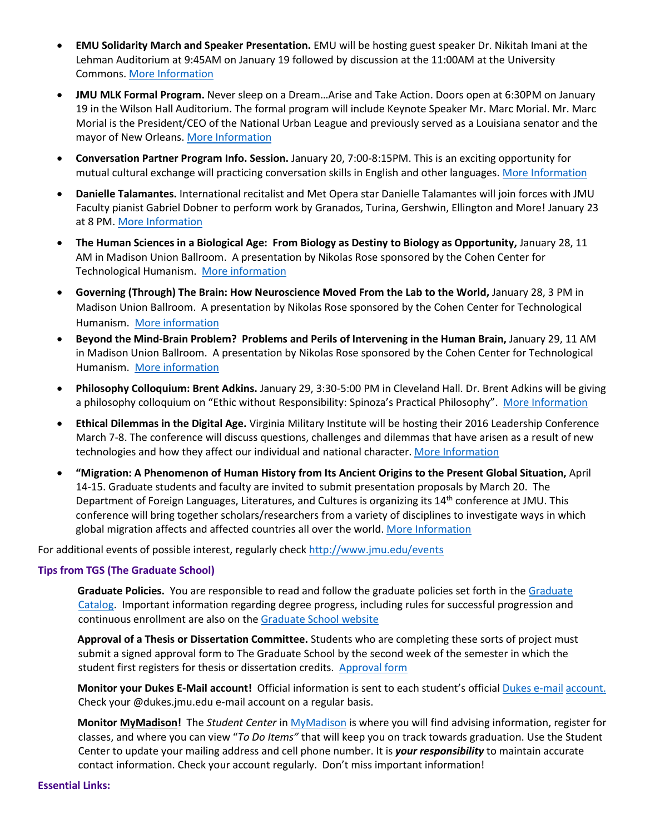- **EMU Solidarity March and Speaker Presentation.** EMU will be hosting guest speaker Dr. Nikitah Imani at the Lehman Auditorium at 9:45AM on January 19 followed by discussion at the 11:00AM at the University Commons[. More Information](http://www.emu.edu/events/)
- **JMU MLK Formal Program.** Never sleep on a Dream…Arise and Take Action. Doors open at 6:30PM on January 19 in the Wilson Hall Auditorium. The formal program will include Keynote Speaker Mr. Marc Morial. Mr. Marc Morial is the President/CEO of the National Urban League and previously served as a Louisiana senator and the mayor of New Orleans[. More Information](https://www.jmu.edu/events/multicultural/2015/01/19-mlkformalprogram.shtml)
- **Conversation Partner Program Info. Session.** January 20, 7:00-8:15PM. This is an exciting opportunity for mutual cultural exchange will practicing conversation skills in English and other languages. [More Information](https://www.jmu.edu/events/international/2016/01/20-cpp.shtml)
- **Danielle Talamantes.** International recitalist and Met Opera star Danielle Talamantes will join forces with JMU Faculty pianist Gabriel Dobner to perform work by Granados, Turina, Gershwin, Ellington and More! January 23 at 8 PM. [More Information](http://www.jmu.edu/forbescenter/events/2016/01/23-danielle-talamantes.shtml)
- **The Human Sciences in a Biological Age: From Biology as Destiny to Biology as Opportunity,** January 28, 11 AM in Madison Union Ballroom. A presentation by Nikolas Rose sponsored by the Cohen Center for Technological Humanism. [More information](http://www.jmu.edu/stories/cohencenter/2015/11-02-spring-lectures.shtml)
- **Governing (Through) The Brain: How Neuroscience Moved From the Lab to the World,** January 28, 3 PM in Madison Union Ballroom. A presentation by Nikolas Rose sponsored by the Cohen Center for Technological Humanism. [More information](http://www.jmu.edu/stories/cohencenter/2015/11-02-spring-lectures.shtml)
- **Beyond the Mind-Brain Problem? Problems and Perils of Intervening in the Human Brain,** January 29, 11 AM in Madison Union Ballroom. A presentation by Nikolas Rose sponsored by the Cohen Center for Technological Humanism. [More information](http://www.jmu.edu/stories/cohencenter/2015/11-02-spring-lectures.shtml)
- **Philosophy Colloquium: Brent Adkins.** January 29, 3:30-5:00 PM in Cleveland Hall. Dr. Brent Adkins will be giving a philosophy colloquium on "Ethic without Responsibility: Spinoza's Practical Philosophy". [More Information](https://www.jmu.edu/events/philrel/2015/10/10-14-2015_adkinstalk.shtml)
- **Ethical Dilemmas in the Digital Age.** Virginia Military Institute will be hosting their 2016 Leadership Conference March 7-8. The conference will discuss questions, challenges and dilemmas that have arisen as a result of new technologies and how they affect our individual and national character[. More Information](http://www.vmi.edu/Conferences/Leadership/2015/Leadership_Conference/)
- **"Migration: A Phenomenon of Human History from Its Ancient Origins to the Present Global Situation,** April 14-15. Graduate students and faculty are invited to submit presentation proposals by March 20. The Department of Foreign Languages, Literatures, and Cultures is organizing its 14<sup>th</sup> conference at JMU. This conference will bring together scholars/researchers from a variety of disciplines to investigate ways in which global migration affects and affected countries all over the world. [More Information](http://www.jmu.edu/forlang/conferenceFLLC/call.shtml)

For additional events of possible interest, regularly check<http://www.jmu.edu/events>

## **Tips from TGS (The Graduate School)**

**Graduate Policies.** You are responsible to read and follow the graduate policies set forth in th[e Graduate](http://jmu.edu/catalog) [Catalog.](http://jmu.edu/catalog) Important information regarding degree progress, including rules for successful progression and continuous enrollment are also on the [Graduate School website](http://www.jmu.edu/grad/current-students/degree-progress/beginning.shtml)

**Approval of a Thesis or Dissertation Committee.** Students who are completing these sorts of project must submit a signed approval form to The Graduate School by the second week of the semester in which the student first registers for thesis or dissertation credits[. Approval form](http://www.jmu.edu/grad/_files/CommitteeApprovalForm2014-15.pdf) 

**Monitor your Dukes E-Mail account!** Official information is sent to each student's offi[cial](http://www.jmu.edu/computing/helpdesk/selfhelp/DukesEmail.shtml) [Dukes e-mail](http://www.jmu.edu/computing/helpdesk/selfhelp/DukesEmail.shtml) [account.](http://www.jmu.edu/computing/helpdesk/selfhelp/DukesEmail.shtml) Check your @dukes.jmu.edu e-mail account on a regular basis.

**Monit[or MyMadison!](http://mymadison.jmu.edu/)** The *Student Center* [in MyMadison](http://mymadison.jmu.edu/) [is](http://mymadison.jmu.edu/) where you will find advising information, register for classes, and where you can view "*To Do Items"* that will keep you on track towards graduation. Use the Student Center to update your mailing address and cell phone number. It is *your responsibility* to maintain accurate contact information. Check your account regularly. Don't miss important information!